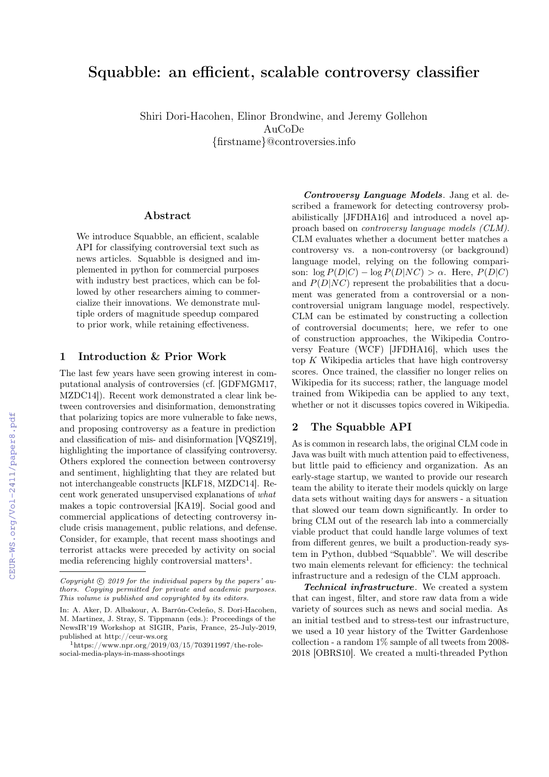# Squabble: an efficient, scalable controversy classifier

Shiri Dori-Hacohen, Elinor Brondwine, and Jeremy Gollehon AuCoDe {firstname}@controversies.info

#### Abstract

We introduce Squabble, an efficient, scalable API for classifying controversial text such as news articles. Squabble is designed and implemented in python for commercial purposes with industry best practices, which can be followed by other researchers aiming to commercialize their innovations. We demonstrate multiple orders of magnitude speedup compared to prior work, while retaining effectiveness.

#### 1 Introduction & Prior Work

The last few years have seen growing interest in computational analysis of controversies (cf. [GDFMGM17, MZDC14]). Recent work demonstrated a clear link between controversies and disinformation, demonstrating that polarizing topics are more vulnerable to fake news, and proposing controversy as a feature in prediction and classification of mis- and disinformation [VQSZ19], highlighting the importance of classifying controversy. Others explored the connection between controversy and sentiment, highlighting that they are related but not interchangeable constructs [KLF18, MZDC14]. Recent work generated unsupervised explanations of what makes a topic controversial [KA19]. Social good and commercial applications of detecting controversy include crisis management, public relations, and defense. Consider, for example, that recent mass shootings and terrorist attacks were preceded by activity on social media referencing highly controversial matters<sup>1</sup>.

Controversy Language Models. Jang et al. described a framework for detecting controversy probabilistically [JFDHA16] and introduced a novel approach based on controversy language models (CLM). CLM evaluates whether a document better matches a controversy vs. a non-controversy (or background) language model, relying on the following comparison:  $\log P(D|C) - \log P(D|NC) > \alpha$ . Here,  $P(D|C)$ and  $P(D|NC)$  represent the probabilities that a document was generated from a controversial or a noncontroversial unigram language model, respectively. CLM can be estimated by constructing a collection of controversial documents; here, we refer to one of construction approaches, the Wikipedia Controversy Feature (WCF) [JFDHA16], which uses the top K Wikipedia articles that have high controversy scores. Once trained, the classifier no longer relies on Wikipedia for its success; rather, the language model trained from Wikipedia can be applied to any text, whether or not it discusses topics covered in Wikipedia.

#### 2 The Squabble API

As is common in research labs, the original CLM code in Java was built with much attention paid to effectiveness, but little paid to efficiency and organization. As an early-stage startup, we wanted to provide our research team the ability to iterate their models quickly on large data sets without waiting days for answers - a situation that slowed our team down significantly. In order to bring CLM out of the research lab into a commercially viable product that could handle large volumes of text from different genres, we built a production-ready system in Python, dubbed "Squabble". We will describe two main elements relevant for efficiency: the technical infrastructure and a redesign of the CLM approach.

Technical infrastructure. We created a system that can ingest, filter, and store raw data from a wide variety of sources such as news and social media. As an initial testbed and to stress-test our infrastructure, we used a 10 year history of the Twitter Gardenhose collection - a random 1% sample of all tweets from 2008- 2018 [OBRS10]. We created a multi-threaded Python

Copyright  $\odot$  2019 for the individual papers by the papers' authors. Copying permitted for private and academic purposes. This volume is published and copyrighted by its editors.

In: A. Aker, D. Albakour, A. Barrón-Cedeño, S. Dori-Hacohen, M. Martinez, J. Stray, S. Tippmann (eds.): Proceedings of the NewsIR'19 Workshop at SIGIR, Paris, France, 25-July-2019, published at http://ceur-ws.org

 $1$ https://www.npr.org/2019/03/15/703911997/the-rolesocial-media-plays-in-mass-shootings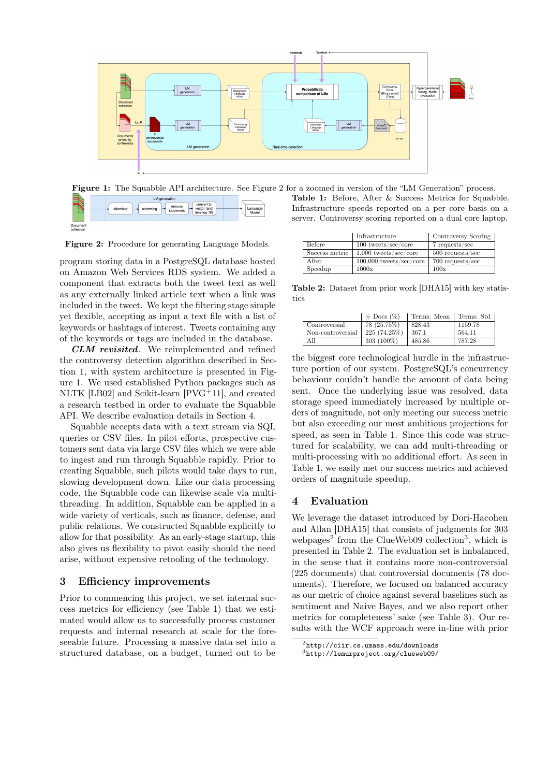

Figure 1: The Squabble API architecture. See Figure 2 for a zoomed in version of the "LM Generation" process.



Figure 2: Procedure for generating Language Models.

program storing data in a PostgreSQL database hosted on Amazon Web Services RDS system. We added a component that extracts both the tweet text as well as any externally linked article text when a link was included in the tweet. We kept the filtering stage simple yet flexible, accepting as input a text file with a list of keywords or hashtags of interest. Tweets containing any of the keywords or tags are included in the database.

CLM revisited. We reimplemented and refined the controversy detection algorithm described in Section 1, with system architecture is presented in Figure 1. We used established Python packages such as NLTK [LB02] and Scikit-learn [PVG<sup>+</sup>11], and created a research testbed in order to evaluate the Squabble API. We describe evaluation details in Section 4.

Squabble accepts data with a text stream via SQL queries or CSV files. In pilot efforts, prospective customers sent data via large CSV files which we were able to ingest and run through Squabble rapidly. Prior to creating Squabble, such pilots would take days to run, slowing development down. Like our data processing code, the Squabble code can likewise scale via multithreading. In addition, Squabble can be applied in a wide variety of verticals, such as finance, defense, and public relations. We constructed Squabble explicitly to allow for that possibility. As an early-stage startup, this also gives us flexibility to pivot easily should the need arise, without expensive retooling of the technology.

### 3 Efficiency improvements

Prior to commencing this project, we set internal success metrics for efficiency (see Table 1) that we estimated would allow us to successfully process customer requests and internal research at scale for the foreseeable future. Processing a massive data set into a structured database, on a budget, turned out to be

Table 1: Before, After & Success Metrics for Squabble. Infrastructure speeds reported on a per core basis on a server. Controversy scoring reported on a dual core laptop.

|                | Infrastructure            | Controversy Scoring |
|----------------|---------------------------|---------------------|
| <b>Before</b>  | $100$ tweets/sec/core     | 7 requests/sec      |
| Success metric | $1,000$ tweets/sec/core   | $500$ requests/sec  |
| After          | $100,000$ tweets/sec/core | $700$ requests/sec  |
| Speedup        | 1000x                     | 100x                |

Table 2: Dataset from prior work [DHA15] with key statistics

|                   | $\#$ Docs $(\%)$ | Terms: Mean | Terms: Std |
|-------------------|------------------|-------------|------------|
| Controversial     | 78 (25.75%)      | 828.43      | 1159.78    |
| Non-controversial | 225 (74.25%)     | -367.1      | 564.11     |
| A 11              | $303(100\%)$     | 485.86      | 787.28     |

the biggest core technological hurdle in the infrastructure portion of our system. PostgreSQL's concurrency behaviour couldn't handle the amount of data being sent. Once the underlying issue was resolved, data storage speed immediately increased by multiple orders of magnitude, not only meeting our success metric but also exceeding our most ambitious projections for speed, as seen in Table 1. Since this code was structured for scalability, we can add multi-threading or multi-processing with no additional effort. As seen in Table 1, we easily met our success metrics and achieved orders of magnitude speedup.

## 4 Evaluation

We leverage the dataset introduced by Dori-Hacohen and Allan [DHA15] that consists of judgments for 303 webpages<sup>2</sup> from the ClueWeb09 collection<sup>3</sup>, which is presented in Table 2. The evaluation set is imbalanced, in the sense that it contains more non-controversial (225 documents) that controversial documents (78 documents). Therefore, we focused on balanced accuracy as our metric of choice against several baselines such as sentiment and Naive Bayes, and we also report other metrics for completeness' sake (see Table 3). Our results with the WCF approach were in-line with prior

<sup>2</sup>http://ciir.cs.umass.edu/downloads

<sup>3</sup>http://lemurproject.org/clueweb09/